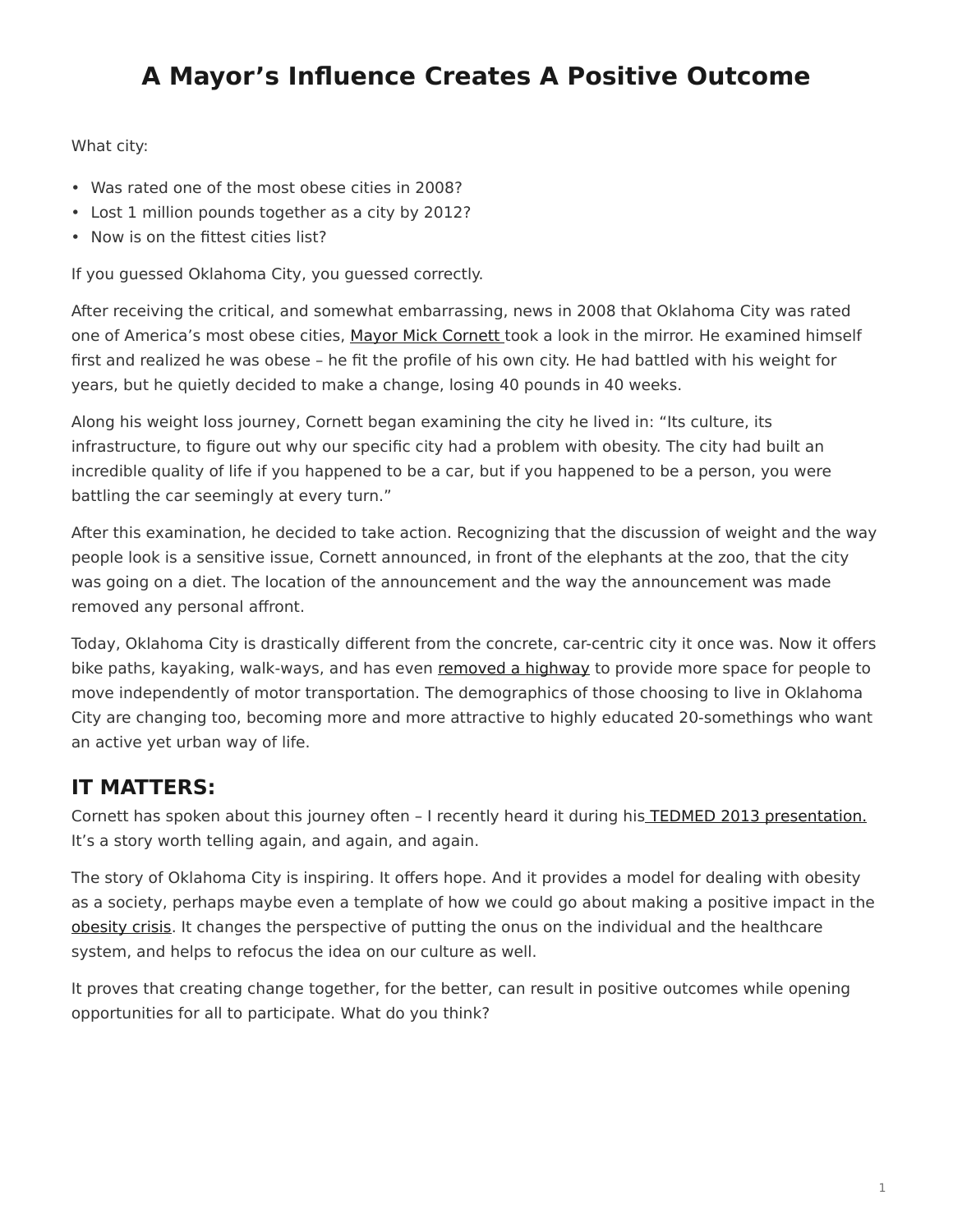## <span id="page-0-0"></span>**A Mayor's Influence Creates A Positive Outcome**

What city:

- Was rated one of the most obese cities in 2008?
- Lost 1 million pounds together as a city by 2012?
- Now is on the fittest cities list?

If you guessed Oklahoma City, you guessed correctly.

After receiving the critical, and somewhat embarrassing, news in 2008 that Oklahoma City was rated one of America's most obese cities, [Mayor Mick Cornett](https://www.okc.gov/government/mayor) took a look in the mirror. He examined himself first and realized he was obese – he fit the profile of his own city. He had battled with his weight for years, but he quietly decided to make a change, losing 40 pounds in 40 weeks.

Along his weight loss journey, Cornett began examining the city he lived in: "Its culture, its infrastructure, to figure out why our specific city had a problem with obesity. The city had built an incredible quality of life if you happened to be a car, but if you happened to be a person, you were battling the car seemingly at every turn."

After this examination, he decided to take action. Recognizing that the discussion of weight and the way people look is a sensitive issue, Cornett announced, in front of the elephants at the zoo, that the city was going on a diet. The location of the announcement and the way the announcement was made removed any personal affront.

Today, Oklahoma City is drastically different from the concrete, car-centric city it once was. Now it offers bike paths, kayaking, walk-ways, and has even [removed a highway](http://dc.streetsblog.org/2013/01/24/oklahoma-city-mayor-mick-cornett-we-have-built-this-city-for-cars/) to provide more space for people to move independently of motor transportation. The demographics of those choosing to live in Oklahoma City are changing too, becoming more and more attractive to highly educated 20-somethings who want an active yet urban way of life.

## **IT MATTERS:**

Cornett has spoken about this journey often – I recently heard it during his [TEDMED 2013 presentation.](http://www.tedmed.com/talks/show?id=54790) It's a story worth telling again, and again, and again.

The story of Oklahoma City is inspiring. It offers hope. And it provides a model for dealing with obesity as a society, perhaps maybe even a template of how we could go about making a positive impact in the [obesity crisis](/blog/healthcare-and-the-obesity-crisis-a-symptom-of-something-more/). It changes the perspective of putting the onus on the individual and the healthcare system, and helps to refocus the idea on our culture as well.

It proves that creating change together, for the better, can result in positive outcomes while opening opportunities for all to participate. What do you think?